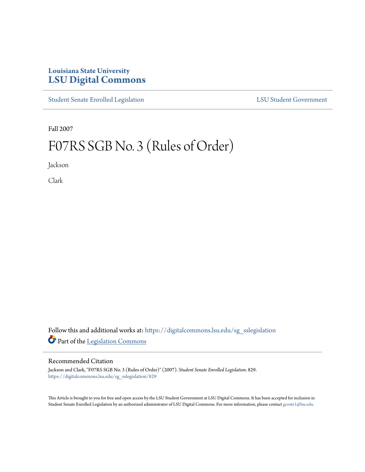## **Louisiana State University [LSU Digital Commons](https://digitalcommons.lsu.edu?utm_source=digitalcommons.lsu.edu%2Fsg_sslegislation%2F829&utm_medium=PDF&utm_campaign=PDFCoverPages)**

[Student Senate Enrolled Legislation](https://digitalcommons.lsu.edu/sg_sslegislation?utm_source=digitalcommons.lsu.edu%2Fsg_sslegislation%2F829&utm_medium=PDF&utm_campaign=PDFCoverPages) [LSU Student Government](https://digitalcommons.lsu.edu/sg?utm_source=digitalcommons.lsu.edu%2Fsg_sslegislation%2F829&utm_medium=PDF&utm_campaign=PDFCoverPages)

Fall 2007

# F07RS SGB No. 3 (Rules of Order)

Jackson

Clark

Follow this and additional works at: [https://digitalcommons.lsu.edu/sg\\_sslegislation](https://digitalcommons.lsu.edu/sg_sslegislation?utm_source=digitalcommons.lsu.edu%2Fsg_sslegislation%2F829&utm_medium=PDF&utm_campaign=PDFCoverPages) Part of the [Legislation Commons](http://network.bepress.com/hgg/discipline/859?utm_source=digitalcommons.lsu.edu%2Fsg_sslegislation%2F829&utm_medium=PDF&utm_campaign=PDFCoverPages)

#### Recommended Citation

Jackson and Clark, "F07RS SGB No. 3 (Rules of Order)" (2007). *Student Senate Enrolled Legislation*. 829. [https://digitalcommons.lsu.edu/sg\\_sslegislation/829](https://digitalcommons.lsu.edu/sg_sslegislation/829?utm_source=digitalcommons.lsu.edu%2Fsg_sslegislation%2F829&utm_medium=PDF&utm_campaign=PDFCoverPages)

This Article is brought to you for free and open access by the LSU Student Government at LSU Digital Commons. It has been accepted for inclusion in Student Senate Enrolled Legislation by an authorized administrator of LSU Digital Commons. For more information, please contact [gcoste1@lsu.edu.](mailto:gcoste1@lsu.edu)